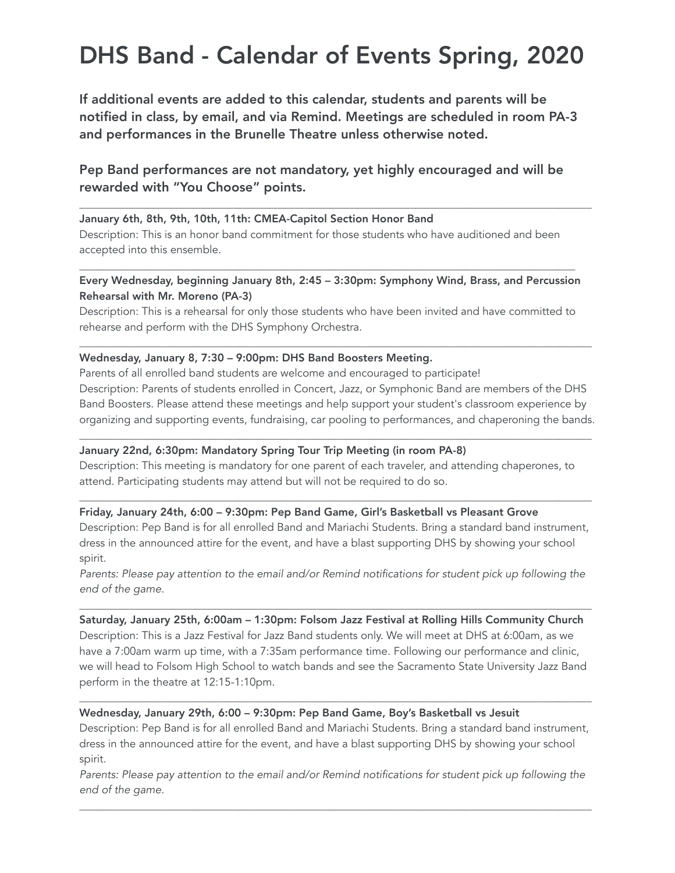# DHS Band - Calendar of Events Spring, 2020

If additional events are added to this calendar, students and parents will be notified in class, by email, and via Remind. Meetings are scheduled in room PA-3 and performances in the Brunelle Theatre unless otherwise noted.

Pep Band performances are not mandatory, yet highly encouraged and will be rewarded with "You Choose" points.

\_\_\_\_\_\_\_\_\_\_\_\_\_\_\_\_\_\_\_\_\_\_\_\_\_\_\_\_\_\_\_\_\_\_\_\_\_\_\_\_\_\_\_\_\_\_\_\_\_\_\_\_\_\_\_\_\_\_\_\_\_\_\_\_\_\_\_\_\_\_\_\_\_\_\_\_\_\_\_\_\_\_\_\_\_\_\_\_\_\_\_\_\_

### January 6th, 8th, 9th, 10th, 11th: CMEA-Capitol Section Honor Band

Description: This is an honor band commitment for those students who have auditioned and been accepted into this ensemble.

\_\_\_\_\_\_\_\_\_\_\_\_\_\_\_\_\_\_\_\_\_\_\_\_\_\_\_\_\_\_\_\_\_\_\_\_\_\_\_\_\_\_\_\_\_\_\_\_\_\_\_\_\_\_\_\_\_\_\_\_\_\_\_\_\_\_\_\_\_\_\_\_\_\_\_\_\_\_\_\_\_\_\_\_\_\_\_\_\_\_ Every Wednesday, beginning January 8th, 2:45 – 3:30pm: Symphony Wind, Brass, and Percussion Rehearsal with Mr. Moreno (PA-3)

Description: This is a rehearsal for only those students who have been invited and have committed to rehearse and perform with the DHS Symphony Orchestra.

\_\_\_\_\_\_\_\_\_\_\_\_\_\_\_\_\_\_\_\_\_\_\_\_\_\_\_\_\_\_\_\_\_\_\_\_\_\_\_\_\_\_\_\_\_\_\_\_\_\_\_\_\_\_\_\_\_\_\_\_\_\_\_\_\_\_\_\_\_\_\_\_\_\_\_\_\_\_\_\_\_\_\_\_\_\_\_\_\_\_\_\_\_

#### Wednesday, January 8, 7:30 – 9:00pm: DHS Band Boosters Meeting.

Parents of all enrolled band students are welcome and encouraged to participate! Description: Parents of students enrolled in Concert, Jazz, or Symphonic Band are members of the DHS Band Boosters. Please attend these meetings and help support your student's classroom experience by organizing and supporting events, fundraising, car pooling to performances, and chaperoning the bands.

\_\_\_\_\_\_\_\_\_\_\_\_\_\_\_\_\_\_\_\_\_\_\_\_\_\_\_\_\_\_\_\_\_\_\_\_\_\_\_\_\_\_\_\_\_\_\_\_\_\_\_\_\_\_\_\_\_\_\_\_\_\_\_\_\_\_\_\_\_\_\_\_\_\_\_\_\_\_\_\_\_\_\_\_\_\_\_\_\_\_\_\_\_

# January 22nd, 6:30pm: Mandatory Spring Tour Trip Meeting (in room PA-8)

Description: This meeting is mandatory for one parent of each traveler, and attending chaperones, to attend. Participating students may attend but will not be required to do so.

#### Friday, January 24th, 6:00 – 9:30pm: Pep Band Game, Girl's Basketball vs Pleasant Grove

Description: Pep Band is for all enrolled Band and Mariachi Students. Bring a standard band instrument, dress in the announced attire for the event, and have a blast supporting DHS by showing your school spirit.

 $\_$  ,  $\_$  ,  $\_$  ,  $\_$  ,  $\_$  ,  $\_$  ,  $\_$  ,  $\_$  ,  $\_$  ,  $\_$  ,  $\_$  ,  $\_$  ,  $\_$  ,  $\_$  ,  $\_$  ,  $\_$  ,  $\_$  ,  $\_$  ,  $\_$  ,  $\_$  ,  $\_$  ,  $\_$  ,  $\_$  ,  $\_$  ,  $\_$  ,  $\_$  ,  $\_$  ,  $\_$  ,  $\_$  ,  $\_$  ,  $\_$  ,  $\_$  ,  $\_$  ,  $\_$  ,  $\_$  ,  $\_$  ,  $\_$  ,

*Parents: Please pay attention to the email and/or Remind notifications for student pick up following the end of the game.* 

\_\_\_\_\_\_\_\_\_\_\_\_\_\_\_\_\_\_\_\_\_\_\_\_\_\_\_\_\_\_\_\_\_\_\_\_\_\_\_\_\_\_\_\_\_\_\_\_\_\_\_\_\_\_\_\_\_\_\_\_\_\_\_\_\_\_\_\_\_\_\_\_\_\_\_\_\_\_\_\_\_\_\_\_\_\_\_\_\_\_\_\_\_

Saturday, January 25th, 6:00am – 1:30pm: Folsom Jazz Festival at Rolling Hills Community Church Description: This is a Jazz Festival for Jazz Band students only. We will meet at DHS at 6:00am, as we have a 7:00am warm up time, with a 7:35am performance time. Following our performance and clinic, we will head to Folsom High School to watch bands and see the Sacramento State University Jazz Band perform in the theatre at 12:15-1:10pm.

# Wednesday, January 29th, 6:00 – 9:30pm: Pep Band Game, Boy's Basketball vs Jesuit

Description: Pep Band is for all enrolled Band and Mariachi Students. Bring a standard band instrument, dress in the announced attire for the event, and have a blast supporting DHS by showing your school spirit.

\_\_\_\_\_\_\_\_\_\_\_\_\_\_\_\_\_\_\_\_\_\_\_\_\_\_\_\_\_\_\_\_\_\_\_\_\_\_\_\_\_\_\_\_\_\_\_\_\_\_\_\_\_\_\_\_\_\_\_\_\_\_\_\_\_\_\_\_\_\_\_\_\_\_\_\_\_\_\_\_\_\_\_\_\_\_\_\_\_\_\_\_\_

*Parents: Please pay attention to the email and/or Remind notifications for student pick up following the end of the game.* 

\_\_\_\_\_\_\_\_\_\_\_\_\_\_\_\_\_\_\_\_\_\_\_\_\_\_\_\_\_\_\_\_\_\_\_\_\_\_\_\_\_\_\_\_\_\_\_\_\_\_\_\_\_\_\_\_\_\_\_\_\_\_\_\_\_\_\_\_\_\_\_\_\_\_\_\_\_\_\_\_\_\_\_\_\_\_\_\_\_\_\_\_\_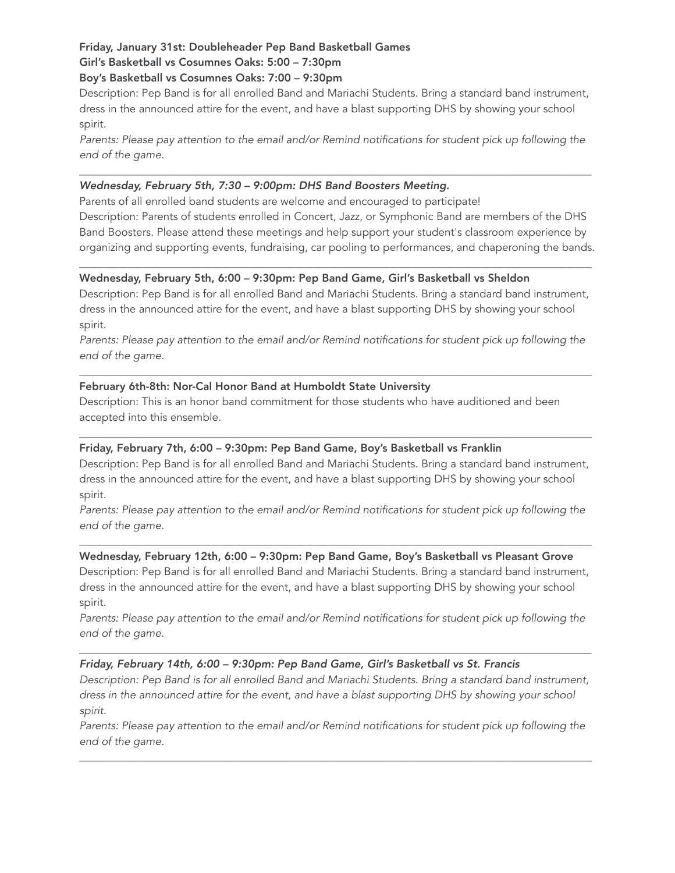# Friday, January 31st: Doubleheader Pep Band Basketball Games

# Girl's Basketball vs Cosumnes Oaks: 5:00 – 7:30pm

# Boy's Basketball vs Cosumnes Oaks: 7:00 – 9:30pm

Description: Pep Band is for all enrolled Band and Mariachi Students. Bring a standard band instrument, dress in the announced attire for the event, and have a blast supporting DHS by showing your school spirit.

*Parents: Please pay attention to the email and/or Remind notifications for student pick up following the end of the game.* 

*\_\_\_\_\_\_\_\_\_\_\_\_\_\_\_\_\_\_\_\_\_\_\_\_\_\_\_\_\_\_\_\_\_\_\_\_\_\_\_\_\_\_\_\_\_\_\_\_\_\_\_\_\_\_\_\_\_\_\_\_\_\_\_\_\_\_\_\_\_\_\_\_\_\_\_\_\_\_\_\_\_\_\_\_\_\_\_\_\_\_\_\_\_*

# *Wednesday, February 5th, 7:30 – 9:00pm: DHS Band Boosters Meeting.*

Parents of all enrolled band students are welcome and encouraged to participate!

Description: Parents of students enrolled in Concert, Jazz, or Symphonic Band are members of the DHS Band Boosters. Please attend these meetings and help support your student's classroom experience by organizing and supporting events, fundraising, car pooling to performances, and chaperoning the bands.

\_\_\_\_\_\_\_\_\_\_\_\_\_\_\_\_\_\_\_\_\_\_\_\_\_\_\_\_\_\_\_\_\_\_\_\_\_\_\_\_\_\_\_\_\_\_\_\_\_\_\_\_\_\_\_\_\_\_\_\_\_\_\_\_\_\_\_\_\_\_\_\_\_\_\_\_\_\_\_\_\_\_\_\_\_\_\_\_\_\_\_\_\_

# Wednesday, February 5th, 6:00 – 9:30pm: Pep Band Game, Girl's Basketball vs Sheldon

Description: Pep Band is for all enrolled Band and Mariachi Students. Bring a standard band instrument, dress in the announced attire for the event, and have a blast supporting DHS by showing your school spirit.

*Parents: Please pay attention to the email and/or Remind notifications for student pick up following the end of the game.* 

 $\_$  ,  $\_$  ,  $\_$  ,  $\_$  ,  $\_$  ,  $\_$  ,  $\_$  ,  $\_$  ,  $\_$  ,  $\_$  ,  $\_$  ,  $\_$  ,  $\_$  ,  $\_$  ,  $\_$  ,  $\_$  ,  $\_$  ,  $\_$  ,  $\_$  ,  $\_$  ,  $\_$  ,  $\_$  ,  $\_$  ,  $\_$  ,  $\_$  ,  $\_$  ,  $\_$  ,  $\_$  ,  $\_$  ,  $\_$  ,  $\_$  ,  $\_$  ,  $\_$  ,  $\_$  ,  $\_$  ,  $\_$  ,  $\_$  ,

# February 6th-8th: Nor-Cal Honor Band at Humboldt State University

Description: This is an honor band commitment for those students who have auditioned and been accepted into this ensemble.

# Friday, February 7th, 6:00 – 9:30pm: Pep Band Game, Boy's Basketball vs Franklin

Description: Pep Band is for all enrolled Band and Mariachi Students. Bring a standard band instrument, dress in the announced attire for the event, and have a blast supporting DHS by showing your school spirit.

\_\_\_\_\_\_\_\_\_\_\_\_\_\_\_\_\_\_\_\_\_\_\_\_\_\_\_\_\_\_\_\_\_\_\_\_\_\_\_\_\_\_\_\_\_\_\_\_\_\_\_\_\_\_\_\_\_\_\_\_\_\_\_\_\_\_\_\_\_\_\_\_\_\_\_\_\_\_\_\_\_\_\_\_\_\_\_\_\_\_\_\_\_

*Parents: Please pay attention to the email and/or Remind notifications for student pick up following the end of the game.* 

\_\_\_\_\_\_\_\_\_\_\_\_\_\_\_\_\_\_\_\_\_\_\_\_\_\_\_\_\_\_\_\_\_\_\_\_\_\_\_\_\_\_\_\_\_\_\_\_\_\_\_\_\_\_\_\_\_\_\_\_\_\_\_\_\_\_\_\_\_\_\_\_\_\_\_\_\_\_\_\_\_\_\_\_\_\_\_\_\_\_\_\_\_

# Wednesday, February 12th, 6:00 – 9:30pm: Pep Band Game, Boy's Basketball vs Pleasant Grove

Description: Pep Band is for all enrolled Band and Mariachi Students. Bring a standard band instrument, dress in the announced attire for the event, and have a blast supporting DHS by showing your school spirit.

*Parents: Please pay attention to the email and/or Remind notifications for student pick up following the end of the game.* 

*\_\_\_\_\_\_\_\_\_\_\_\_\_\_\_\_\_\_\_\_\_\_\_\_\_\_\_\_\_\_\_\_\_\_\_\_\_\_\_\_\_\_\_\_\_\_\_\_\_\_\_\_\_\_\_\_\_\_\_\_\_\_\_\_\_\_\_\_\_\_\_\_\_\_\_\_\_\_\_\_\_\_\_\_\_\_\_\_\_\_\_\_\_*

# *Friday, February 14th, 6:00 – 9:30pm: Pep Band Game, Girl's Basketball vs St. Francis*

*Description: Pep Band is for all enrolled Band and Mariachi Students. Bring a standard band instrument, dress in the announced attire for the event, and have a blast supporting DHS by showing your school spirit.* 

*Parents: Please pay attention to the email and/or Remind notifications for student pick up following the end of the game.* 

\_\_\_\_\_\_\_\_\_\_\_\_\_\_\_\_\_\_\_\_\_\_\_\_\_\_\_\_\_\_\_\_\_\_\_\_\_\_\_\_\_\_\_\_\_\_\_\_\_\_\_\_\_\_\_\_\_\_\_\_\_\_\_\_\_\_\_\_\_\_\_\_\_\_\_\_\_\_\_\_\_\_\_\_\_\_\_\_\_\_\_\_\_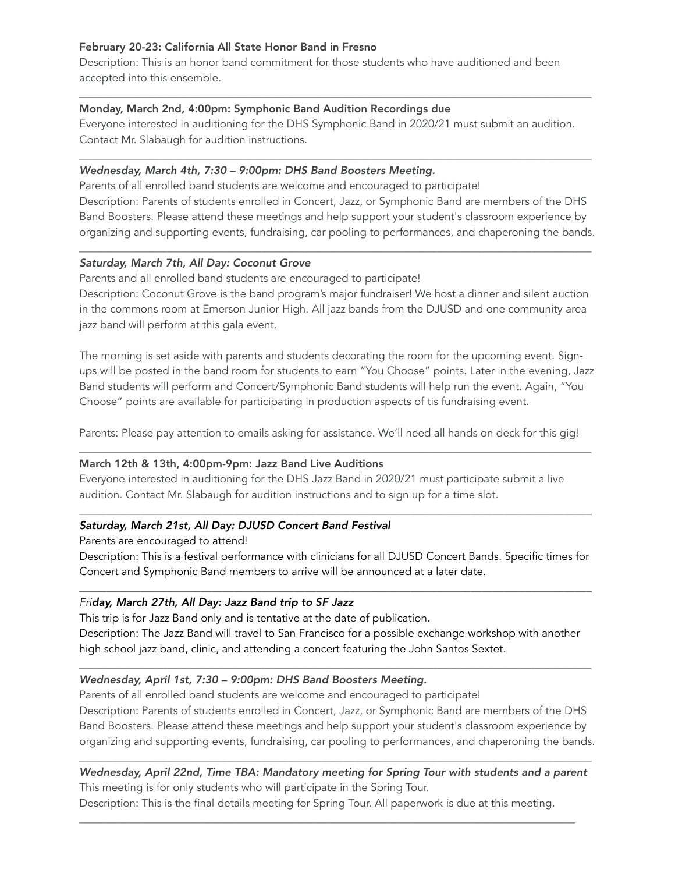# February 20-23: California All State Honor Band in Fresno

Description: This is an honor band commitment for those students who have auditioned and been accepted into this ensemble.

# Monday, March 2nd, 4:00pm: Symphonic Band Audition Recordings due

Everyone interested in auditioning for the DHS Symphonic Band in 2020/21 must submit an audition. Contact Mr. Slabaugh for audition instructions.

*\_\_\_\_\_\_\_\_\_\_\_\_\_\_\_\_\_\_\_\_\_\_\_\_\_\_\_\_\_\_\_\_\_\_\_\_\_\_\_\_\_\_\_\_\_\_\_\_\_\_\_\_\_\_\_\_\_\_\_\_\_\_\_\_\_\_\_\_\_\_\_\_\_\_\_\_\_\_\_\_\_\_\_\_\_\_\_\_\_\_\_\_\_*

#### *Wednesday, March 4th, 7:30 – 9:00pm: DHS Band Boosters Meeting.*

Parents of all enrolled band students are welcome and encouraged to participate! Description: Parents of students enrolled in Concert, Jazz, or Symphonic Band are members of the DHS Band Boosters. Please attend these meetings and help support your student's classroom experience by organizing and supporting events, fundraising, car pooling to performances, and chaperoning the bands.

*\_\_\_\_\_\_\_\_\_\_\_\_\_\_\_\_\_\_\_\_\_\_\_\_\_\_\_\_\_\_\_\_\_\_\_\_\_\_\_\_\_\_\_\_\_\_\_\_\_\_\_\_\_\_\_\_\_\_\_\_\_\_\_\_\_\_\_\_\_\_\_\_\_\_\_\_\_\_\_\_\_\_\_\_\_\_\_\_\_\_\_\_\_*

*\_\_\_\_\_\_\_\_\_\_\_\_\_\_\_\_\_\_\_\_\_\_\_\_\_\_\_\_\_\_\_\_\_\_\_\_\_\_\_\_\_\_\_\_\_\_\_\_\_\_\_\_\_\_\_\_\_\_\_\_\_\_\_\_\_\_\_\_\_\_\_\_\_\_\_\_\_\_\_\_\_\_\_\_\_\_\_\_\_\_\_\_\_*

#### *Saturday, March 7th, All Day: Coconut Grove*

Parents and all enrolled band students are encouraged to participate!

Description: Coconut Grove is the band program's major fundraiser! We host a dinner and silent auction in the commons room at Emerson Junior High. All jazz bands from the DJUSD and one community area jazz band will perform at this gala event.

The morning is set aside with parents and students decorating the room for the upcoming event. Signups will be posted in the band room for students to earn "You Choose" points. Later in the evening, Jazz Band students will perform and Concert/Symphonic Band students will help run the event. Again, "You Choose" points are available for participating in production aspects of tis fundraising event.

Parents: Please pay attention to emails asking for assistance. We'll need all hands on deck for this gig! *\_\_\_\_\_\_\_\_\_\_\_\_\_\_\_\_\_\_\_\_\_\_\_\_\_\_\_\_\_\_\_\_\_\_\_\_\_\_\_\_\_\_\_\_\_\_\_\_\_\_\_\_\_\_\_\_\_\_\_\_\_\_\_\_\_\_\_\_\_\_\_\_\_\_\_\_\_\_\_\_\_\_\_\_\_\_\_\_\_\_\_\_\_*

# March 12th & 13th, 4:00pm-9pm: Jazz Band Live Auditions

Everyone interested in auditioning for the DHS Jazz Band in 2020/21 must participate submit a live audition. Contact Mr. Slabaugh for audition instructions and to sign up for a time slot.

# *Saturday, March 21st, All Day: DJUSD Concert Band Festival*

Parents are encouraged to attend!

Description: This is a festival performance with clinicians for all DJUSD Concert Bands. Specific times for Concert and Symphonic Band members to arrive will be announced at a later date.

\_\_\_\_\_\_\_\_\_\_\_\_\_\_\_\_\_\_\_\_\_\_\_\_\_\_\_\_\_\_\_\_\_\_\_\_\_\_\_\_\_\_\_\_\_\_\_\_\_\_\_\_\_\_\_\_\_\_\_\_\_\_\_\_\_\_\_\_\_\_\_\_\_\_\_\_\_\_\_\_\_\_\_\_\_\_\_\_\_\_\_\_\_

 $\overline{a}$  , and the set of the set of the set of the set of the set of the set of the set of the set of the set of the set of the set of the set of the set of the set of the set of the set of the set of the set of the set

#### *Friday, March 27th, All Day: Jazz Band trip to SF Jazz*

This trip is for Jazz Band only and is tentative at the date of publication.

Description: The Jazz Band will travel to San Francisco for a possible exchange workshop with another high school jazz band, clinic, and attending a concert featuring the John Santos Sextet.

*\_\_\_\_\_\_\_\_\_\_\_\_\_\_\_\_\_\_\_\_\_\_\_\_\_\_\_\_\_\_\_\_\_\_\_\_\_\_\_\_\_\_\_\_\_\_\_\_\_\_\_\_\_\_\_\_\_\_\_\_\_\_\_\_\_\_\_\_\_\_\_\_\_\_\_\_\_\_\_\_\_\_\_\_\_\_\_\_\_\_\_\_\_*

### *Wednesday, April 1st, 7:30 – 9:00pm: DHS Band Boosters Meeting.*

Parents of all enrolled band students are welcome and encouraged to participate!

Description: Parents of students enrolled in Concert, Jazz, or Symphonic Band are members of the DHS Band Boosters. Please attend these meetings and help support your student's classroom experience by organizing and supporting events, fundraising, car pooling to performances, and chaperoning the bands.

## *\_\_\_\_\_\_\_\_\_\_\_\_\_\_\_\_\_\_\_\_\_\_\_\_\_\_\_\_\_\_\_\_\_\_\_\_\_\_\_\_\_\_\_\_\_\_\_\_\_\_\_\_\_\_\_\_\_\_\_\_\_\_\_\_\_\_\_\_\_\_\_\_\_\_\_\_\_\_\_\_\_\_\_\_\_\_\_\_\_\_\_\_\_ Wednesday, April 22nd, Time TBA: Mandatory meeting for Spring Tour with students and a parent* This meeting is for only students who will participate in the Spring Tour.

\_\_\_\_\_\_\_\_\_\_\_\_\_\_\_\_\_\_\_\_\_\_\_\_\_\_\_\_\_\_\_\_\_\_\_\_\_\_\_\_\_\_\_\_\_\_\_\_\_\_\_\_\_\_\_\_\_\_\_\_\_\_\_\_\_\_\_\_\_\_\_\_\_\_\_\_\_\_\_\_\_\_\_\_\_\_\_\_\_\_

Description: This is the final details meeting for Spring Tour. All paperwork is due at this meeting.